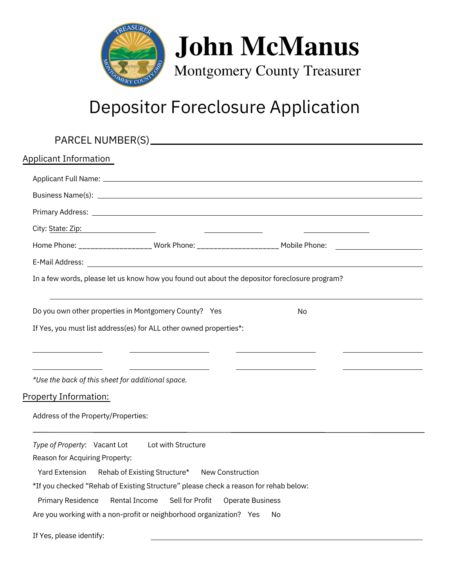

## Depositor Foreclosure Application

| Applicant Information                                                                                                                                                                                                                                       |                                                                                                                      |
|-------------------------------------------------------------------------------------------------------------------------------------------------------------------------------------------------------------------------------------------------------------|----------------------------------------------------------------------------------------------------------------------|
|                                                                                                                                                                                                                                                             |                                                                                                                      |
|                                                                                                                                                                                                                                                             |                                                                                                                      |
| Primary Address: <u>Denversion Communication and Communication and Communication and Communication</u>                                                                                                                                                      |                                                                                                                      |
| City: State: Zip: No. 2014 1999 - And 2014 1999 - And 2014 1999 - And 2014 1999 - And 2014 1999 - And 2014 199                                                                                                                                              |                                                                                                                      |
| Home Phone: ___________________ Work Phone: _____________________ Mobile Phone: ____________________                                                                                                                                                        |                                                                                                                      |
|                                                                                                                                                                                                                                                             |                                                                                                                      |
| In a few words, please let us know how you found out about the depositor foreclosure program?                                                                                                                                                               |                                                                                                                      |
| Do you own other properties in Montgomery County? Yes                                                                                                                                                                                                       | No                                                                                                                   |
| If Yes, you must list address(es) for ALL other owned properties*:                                                                                                                                                                                          |                                                                                                                      |
| <u> Alexandria de la contrada de la contrada de la contrada de la contrada de la contrada de la contrada de la c</u><br><u> 1989 - Johann Barnett, fransk kongresu</u><br>*Use the back of this sheet for additional space.<br><u>Property Information:</u> | <u> Alexandria de la contrada de la contrada de la contrada de la contrada de la contrada de la contrada de la c</u> |
| Address of the Property/Properties:                                                                                                                                                                                                                         |                                                                                                                      |
| Type of Property: Vacant Lot Lot with Structure<br>Reason for Acquiring Property:<br>Rehab of Existing Structure*<br><b>Yard Extension</b><br>New Construction                                                                                              |                                                                                                                      |
| *If you checked "Rehab of Existing Structure" please check a reason for rehab below:                                                                                                                                                                        |                                                                                                                      |
| Rental Income<br>Sell for Profit<br><b>Primary Residence</b>                                                                                                                                                                                                | <b>Operate Business</b>                                                                                              |
| Are you working with a non-profit or neighborhood organization? Yes                                                                                                                                                                                         | No                                                                                                                   |
| If Yes, please identify:                                                                                                                                                                                                                                    |                                                                                                                      |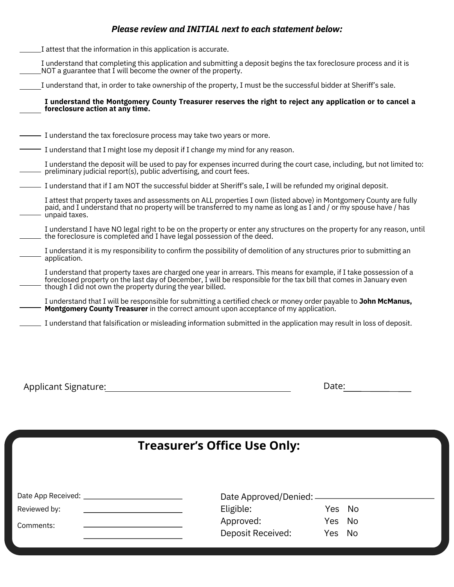## *Please review and INITIAL next to each statement below:*

I attest that the information in this application is accurate.

I understand that completing this application and submitting a deposit begins the tax foreclosure process and it is  $\_$ NOT a guarantee that  $\dot{\rm I}$  will become the owner of the property.

I understand that, in order to take ownership of the property, I must be the successful bidder at Sheriff's sale.

**I understand the Montgomery County Treasurer reserves the right to reject any application or to cancel a foreclosure action at any time.**

- I understand the tax foreclosure process may take two years or more.
- $-$  I understand that I might lose my deposit if I change my mind for any reason.

I understand the deposit will be used to pay for expenses incurred during the court case, including, but not limited to: preliminary judicial report(s), public advertising, and court fees.

I understand that if I am NOT the successful bidder at Sheriff's sale, I will be refunded my original deposit.

I attest that property taxes and assessments on ALL properties I own (listed above) in Montgomery County are fully paid, and I understand that no property will be transferred to my name as long as I and / or my spouse have / has - unpaid taxes.

I understand I have NO legal right to be on the property or enter any structures on the property for any reason, until  $\,$  the foreclosure is completed and I have legal possession of the deed.

I understand it is my responsibility to confirm the possibility of demolition of any structures prior to submitting an application.

I understand that property taxes are charged one year in arrears. This means for example, if I take possession of a foreclosed property on the last day of December, I will be responsible for the tax bill that comes in January even though I did not own the property during the year billed.

- I understand that I will be responsible for submitting a certified check or money order payable to **John McManus, Montgomery County Treasurer** in the correct amount upon acceptance of my application.
- I understand that falsification or misleading information submitted in the application may result in loss of deposit.

Applicant Signature: Date:

## **Treasurer's Office Use Only:**

| Date App Received: | Date Approved/Denied: - |        |    |
|--------------------|-------------------------|--------|----|
| Reviewed by:       | Eligible:               | Yes No |    |
| Comments:          | Approved:               | Yes No |    |
|                    | Deposit Received:       | Yes    | No |